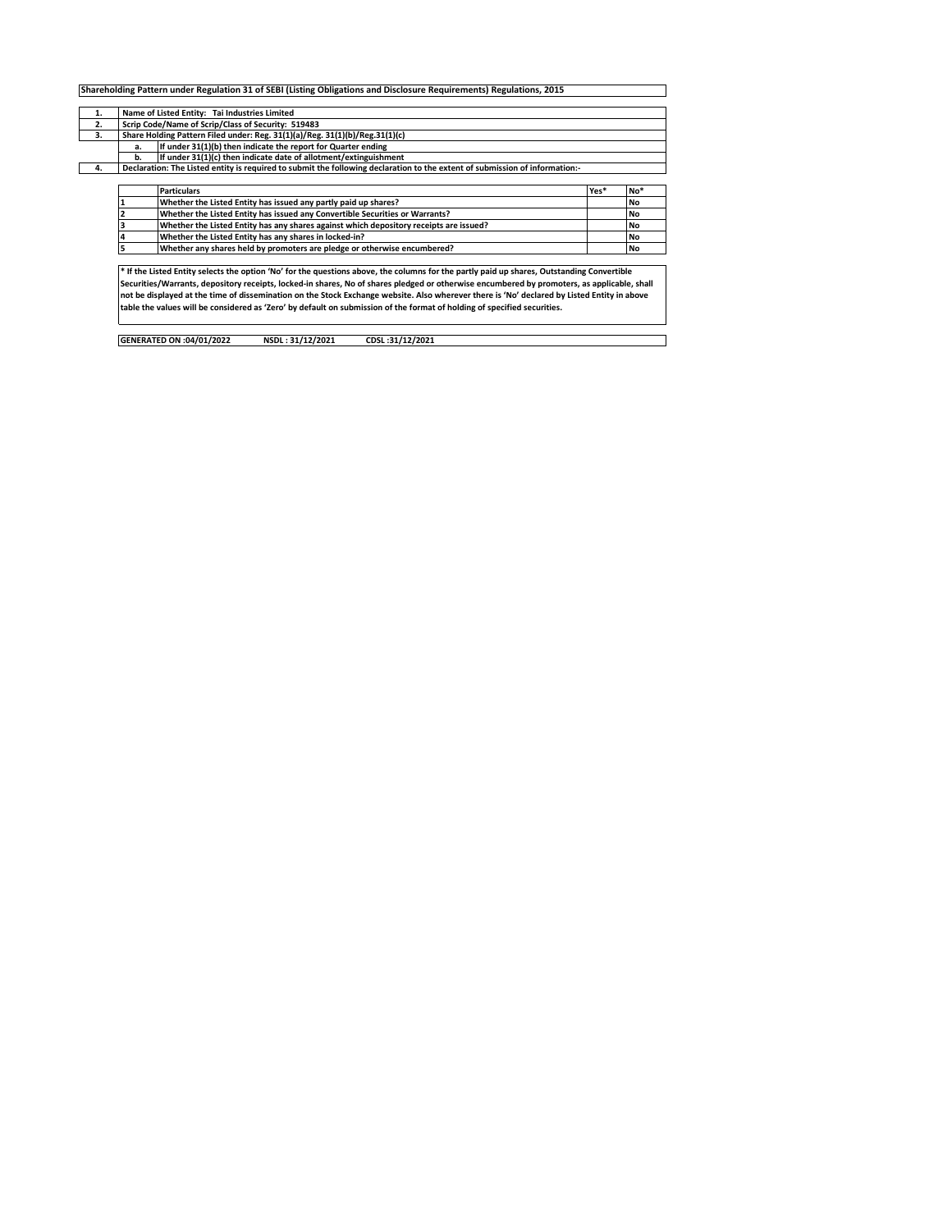|          | Name of Listed Entity: Tai Industries Limited                                                                               |      |           |  |  |  |  |  |  |  |  |  |  |
|----------|-----------------------------------------------------------------------------------------------------------------------------|------|-----------|--|--|--|--|--|--|--|--|--|--|
| 1.<br>2. | Scrip Code/Name of Scrip/Class of Security: 519483                                                                          |      |           |  |  |  |  |  |  |  |  |  |  |
|          |                                                                                                                             |      |           |  |  |  |  |  |  |  |  |  |  |
| 3.       | Share Holding Pattern Filed under: Reg. 31(1)(a)/Reg. 31(1)(b)/Reg.31(1)(c)                                                 |      |           |  |  |  |  |  |  |  |  |  |  |
|          | If under 31(1)(b) then indicate the report for Quarter ending<br>a.                                                         |      |           |  |  |  |  |  |  |  |  |  |  |
|          | If under 31(1)(c) then indicate date of allotment/extinguishment<br>b.                                                      |      |           |  |  |  |  |  |  |  |  |  |  |
| 4.       | Declaration: The Listed entity is required to submit the following declaration to the extent of submission of information:- |      |           |  |  |  |  |  |  |  |  |  |  |
|          |                                                                                                                             |      |           |  |  |  |  |  |  |  |  |  |  |
|          | <b>Particulars</b>                                                                                                          | Yes* | No*       |  |  |  |  |  |  |  |  |  |  |
|          | Whether the Listed Entity has issued any partly paid up shares?                                                             |      | <b>No</b> |  |  |  |  |  |  |  |  |  |  |
|          | Whether the Listed Entity has issued any Convertible Securities or Warrants?                                                |      | <b>No</b> |  |  |  |  |  |  |  |  |  |  |
|          | Whether the Listed Entity has any shares against which depository receipts are issued?                                      |      | <b>No</b> |  |  |  |  |  |  |  |  |  |  |
|          | Whether the Listed Entity has any shares in locked-in?                                                                      |      | <b>No</b> |  |  |  |  |  |  |  |  |  |  |
|          |                                                                                                                             |      | <b>No</b> |  |  |  |  |  |  |  |  |  |  |
|          | Whether any shares held by promoters are pledge or otherwise encumbered?                                                    |      |           |  |  |  |  |  |  |  |  |  |  |

Securities/Warrants, depository receipts, locked-in shares, No of shares pledged or otherwise encumbered by promoters, as applicable, shall<br>not be displayed at the time of dissemination on the Stock Exchange website. Also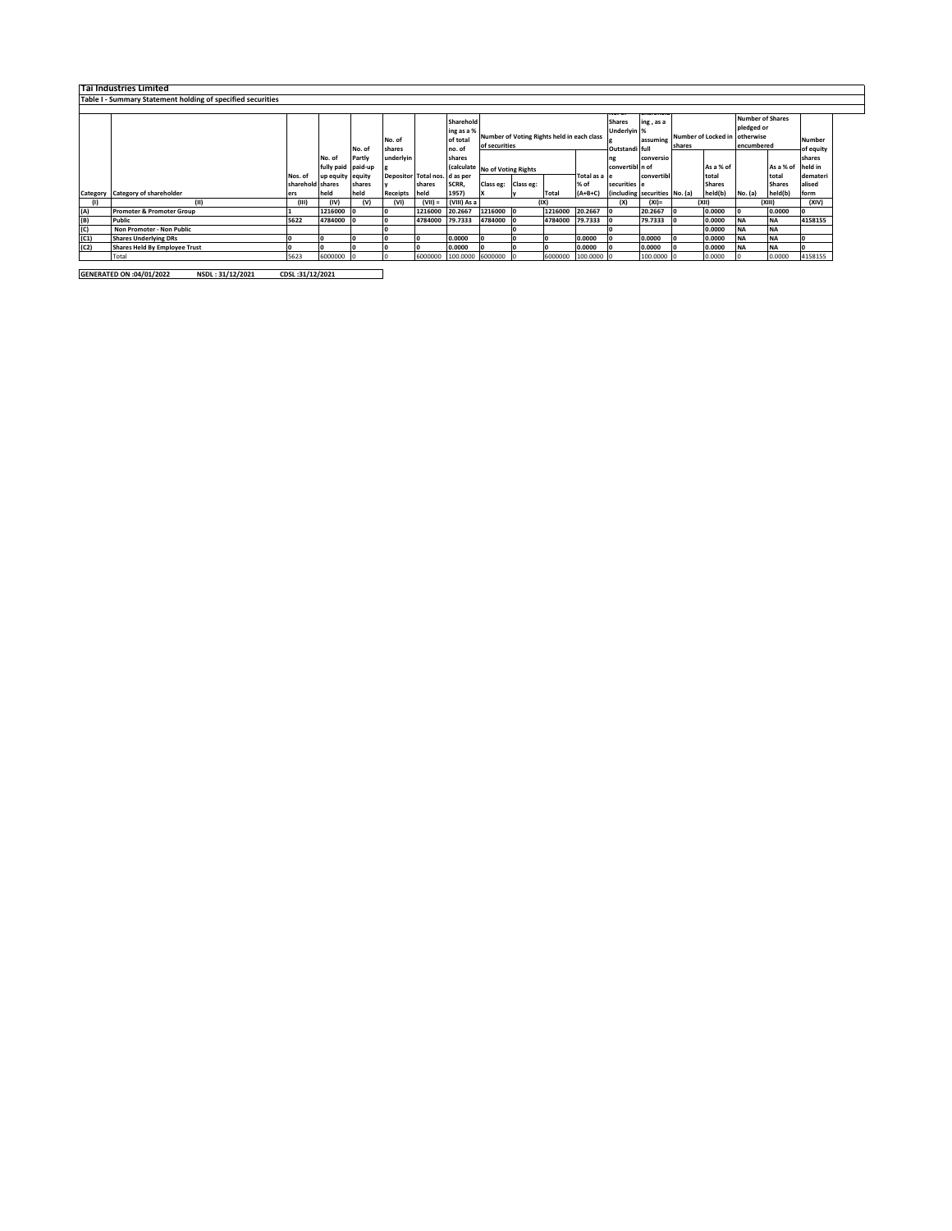|      | Tai Industries Limited                                      |                  |                    |        |                               |           |                  |                                            |  |         |              |                 |                               |        |               |                         |               |           |
|------|-------------------------------------------------------------|------------------|--------------------|--------|-------------------------------|-----------|------------------|--------------------------------------------|--|---------|--------------|-----------------|-------------------------------|--------|---------------|-------------------------|---------------|-----------|
|      | Table I - Summary Statement holding of specified securities |                  |                    |        |                               |           |                  |                                            |  |         |              |                 |                               |        |               |                         |               |           |
|      |                                                             |                  |                    |        |                               |           |                  |                                            |  |         |              |                 |                               |        |               |                         |               |           |
|      |                                                             |                  |                    |        |                               |           | Sharehold        |                                            |  |         |              | <b>Shares</b>   | ing, as a                     |        |               | <b>Number of Shares</b> |               |           |
|      |                                                             |                  |                    |        |                               |           | ing as a %       |                                            |  |         |              | Underlyin %     |                               |        |               | pledged or              |               |           |
|      |                                                             |                  |                    |        | No. of                        |           | of total         | Number of Voting Rights held in each class |  |         | assuming     |                 | <b>Number of Locked in</b>    |        | otherwise     |                         | Number        |           |
|      |                                                             |                  |                    | No. of | shares                        |           | no. of           | of securities                              |  |         |              | Outstandi full  |                               | shares |               | encumbered              |               | of equity |
|      |                                                             |                  | No. of             | Partly | underlyin                     |           | shares           |                                            |  |         | ng           | conversio       |                               |        |               |                         | shares        |           |
|      |                                                             |                  | fully paid paid-up |        |                               |           |                  | (calculate No of Voting Rights             |  |         |              | convertibl n of |                               |        | As a % of     |                         | As a % of     | held in   |
|      |                                                             | Nos. of          | up equity equity   |        | Depositor Total nos. d as per |           |                  |                                            |  |         | Total as a e |                 | convertibl                    |        | total         |                         | total         | demateri  |
|      |                                                             | sharehold shares |                    | shares |                               | shares    | SCRR,            | Class eg: Class eg:                        |  |         | % of         | securities e    |                               |        | <b>Shares</b> |                         | <b>Shares</b> | alised    |
|      | Category Category of shareholder                            | ers              | held               | held   | Receipts held                 |           | 1957)            |                                            |  | Total   | $(A+B+C)$    |                 | (including securities No. (a) |        | held(b)       | No. (a)                 | held(b)       | form      |
|      | (11)                                                        | (III)            | (IV)               | (V)    | (VI)                          | $(VII) =$ | (VIII) As a      |                                            |  | (IX)    |              | (X)             | $(XI) =$                      |        | (XII)         |                         | (XIII)        | (XIV)     |
| (A)  | <b>Promoter &amp; Promoter Group</b>                        |                  | 1216000            |        |                               | 1216000   | 20.2667          | 1216000 0                                  |  | 1216000 | 20.2667      |                 | 20.2667                       |        | 0.0000        |                         | 0.0000        |           |
| (B)  | Public                                                      | 5622             | 4784000            |        |                               | 4784000   | 79.7333          | 4784000                                    |  | 4784000 | 79.7333      |                 | 79.7333                       |        | 0.0000        | <b>NA</b>               | <b>NA</b>     | 4158155   |
| (C)  | Non Promoter - Non Public                                   |                  |                    |        |                               |           |                  |                                            |  |         |              |                 |                               |        | 0.0000        | <b>NA</b>               | <b>NA</b>     |           |
| (C1) | <b>Shares Underlying DRs</b>                                |                  |                    |        |                               |           | 0.0000           |                                            |  |         | 0.0000       |                 | 0.0000                        |        | 0.0000        | <b>NA</b>               | <b>NA</b>     |           |
| (C2) | Shares Held By Employee Trust                               |                  |                    |        |                               |           | 0.0000           |                                            |  |         | 0.0000       |                 | 0.0000                        |        | 0.0000        | <b>NA</b>               | <b>NA</b>     |           |
|      | Total                                                       | 5623             | 6000000            |        |                               | 6000000   | 100.0000 6000000 |                                            |  | 6000000 | 100.0000     |                 | 100.0000 0                    |        | 0.0000        |                         | 0.0000        | 4158155   |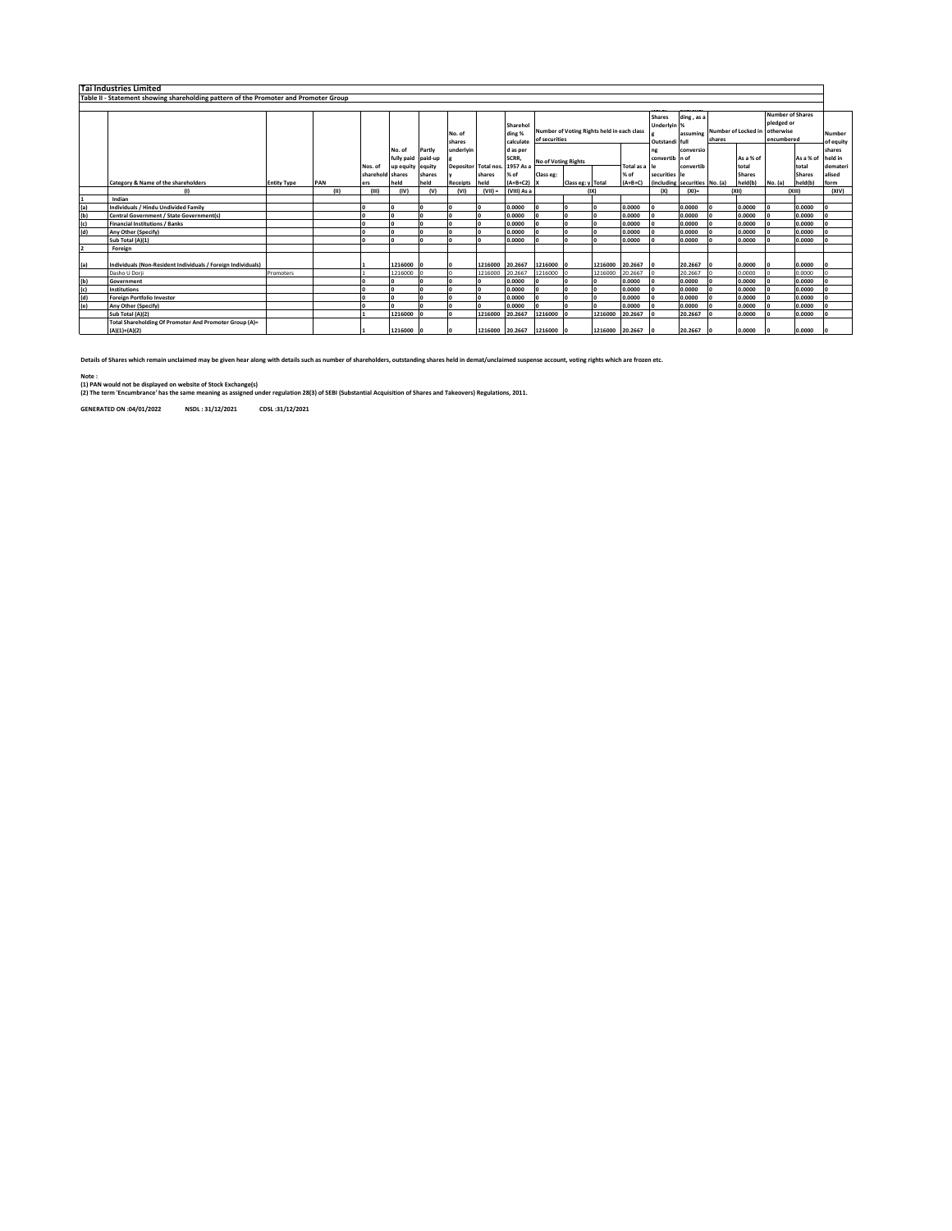|     | <b>Tai Industries Limited</b>                                                        |                    |      |                  |                                        |        |                      |                 |                                 |                                                             |                   |                 |           |                                                |                               |                                        |                    |                                                                  |               |                            |
|-----|--------------------------------------------------------------------------------------|--------------------|------|------------------|----------------------------------------|--------|----------------------|-----------------|---------------------------------|-------------------------------------------------------------|-------------------|-----------------|-----------|------------------------------------------------|-------------------------------|----------------------------------------|--------------------|------------------------------------------------------------------|---------------|----------------------------|
|     | Table II - Statement showing shareholding pattern of the Promoter and Promoter Group |                    |      |                  |                                        |        |                      |                 |                                 |                                                             |                   |                 |           |                                                |                               |                                        |                    |                                                                  |               |                            |
|     |                                                                                      |                    |      |                  |                                        |        |                      |                 |                                 |                                                             |                   |                 |           |                                                |                               |                                        |                    |                                                                  |               |                            |
|     |                                                                                      |                    |      |                  |                                        |        | No. of<br>shares     |                 | Sharehol<br>ding %<br>calculate | Number of Voting Rights held in each class<br>of securities |                   |                 |           | <b>Shares</b><br>Underlyin %<br>Outstandi full | ding, as a                    | assuming Number of Locked in<br>shares |                    | <b>Number of Shares</b><br>pledged or<br>otherwise<br>encumbered |               | <b>Number</b><br>of equity |
|     |                                                                                      |                    |      |                  | No. of                                 | Partiv | underlyin            |                 | d as per                        |                                                             |                   |                 |           | convertib n of                                 | conversio                     |                                        |                    |                                                                  |               | shares<br>held in          |
|     |                                                                                      |                    |      | Nos. of          | fully paid paid-up<br>up equity equity |        | Depositor Total nos. |                 | SCRR,<br>1957 As a              | No of Voting Rights<br>Total as a                           |                   |                 | convertib |                                                | As a % of<br>total            |                                        | As a % of<br>total | demateri                                                         |               |                            |
|     |                                                                                      |                    |      | sharehold shares |                                        | shares |                      | shares          | % of                            | Class eg:                                                   |                   |                 | % of      | securities                                     | l۴                            |                                        | <b>Shares</b>      |                                                                  | <b>Shares</b> | alised                     |
|     | Category & Name of the shareholders                                                  | <b>Entity Type</b> | PAN  | ers              | held                                   | held   | <b>Receipts</b>      | held            | $(A+B+C2)$                      |                                                             | Class eg: y Total |                 | $(A+B+C)$ |                                                | (including securities No. (a) |                                        | held(b)            | No. (a)                                                          | held(b)       | form                       |
|     | $\mathbf{u}$                                                                         |                    | (11) | (III)            | (IV)                                   | (V)    | (VI)                 | $(VII) =$       | (VIII) As a                     |                                                             |                   | (IX)            |           | (X)                                            | $(XI)$ =                      |                                        | (X  )              |                                                                  | (XIII)        | (XIV)                      |
|     | Indian                                                                               |                    |      |                  |                                        |        |                      |                 |                                 |                                                             |                   |                 |           |                                                |                               |                                        |                    |                                                                  |               |                            |
| (a) | Individuals / Hindu Undivided Family                                                 |                    |      |                  |                                        |        |                      |                 | 0.0000                          |                                                             |                   |                 | 0.0000    |                                                | 0.0000                        |                                        | 0.0000             |                                                                  | 0.0000        |                            |
| (b) | Central Government / State Government(s)                                             |                    |      |                  |                                        |        |                      |                 | 0.0000                          |                                                             |                   |                 | 0.0000    |                                                | 0.0000                        |                                        | 0.0000             |                                                                  | 0.0000        |                            |
| (c) | <b>Financial Institutions / Banks</b>                                                |                    |      |                  |                                        |        |                      |                 | 0.0000                          |                                                             |                   |                 | 0.0000    |                                                | 0.0000                        |                                        | 0.0000             |                                                                  | 0.0000        |                            |
| (d) | Any Other (Specify)                                                                  |                    |      |                  |                                        |        |                      |                 | 0.0000                          |                                                             |                   |                 | 0.0000    |                                                | 0.0000                        |                                        | 0.0000             |                                                                  | 0.0000        |                            |
|     | Sub Total (A)(1)                                                                     |                    |      |                  |                                        |        |                      |                 | 0.0000                          |                                                             |                   |                 | 0.0000    |                                                | 0.0000                        |                                        | 0.0000             |                                                                  | 0.0000        |                            |
|     | Foreign                                                                              |                    |      |                  |                                        |        |                      |                 |                                 |                                                             |                   |                 |           |                                                |                               |                                        |                    |                                                                  |               |                            |
| (a) | Individuals (Non-Resident Individuals / Foreign Individuals)                         |                    |      |                  | 1216000                                |        |                      | 1216000         | 20.2667                         | 1216000                                                     |                   | 1216000         | 20,2667   |                                                | 20.2667                       |                                        | 0.0000             |                                                                  | 0.0000        |                            |
|     | Dasho U Dorii                                                                        | Promoters          |      |                  | 1216000                                |        |                      | 1216000         | 20.2667                         | 1216000                                                     |                   | 1216000         | 20.2667   |                                                | 20.2667                       |                                        | 0.0000             |                                                                  | 0.0000        |                            |
| (b) | Government                                                                           |                    |      |                  |                                        |        |                      |                 | 0.0000                          |                                                             |                   |                 | 0.0000    |                                                | 0.0000                        |                                        | 0.0000             |                                                                  | 0.0000        |                            |
| (c) | Institutions                                                                         |                    |      |                  |                                        |        |                      |                 | 0.0000                          |                                                             |                   |                 | 0.0000    |                                                | 0.0000                        |                                        | 0.0000             |                                                                  | 0.0000        |                            |
| (d) | <b>Foreign Portfolio Investor</b>                                                    |                    |      |                  |                                        |        |                      |                 | 0.0000                          |                                                             |                   |                 | 0.0000    |                                                | 0.0000                        |                                        | 0.0000             |                                                                  | 0.0000        |                            |
| (e) | Any Other (Specify)                                                                  |                    |      |                  |                                        |        |                      |                 | 0.0000                          |                                                             |                   |                 | 0.0000    |                                                | 0.0000                        |                                        | 0.0000             |                                                                  | 0.0000        |                            |
|     | Sub Total (A)(2)                                                                     |                    |      |                  | 1216000                                |        |                      | 1216000         | 20.2667                         | 1216000                                                     |                   | 1216000         | 20.2667   |                                                | 20.2667                       |                                        | 0.0000             |                                                                  | 0.0000        |                            |
|     | Total Shareholding Of Promoter And Promoter Group (A)=<br>$(A)(1)+(A)(2)$            |                    |      |                  | 1216000                                |        |                      | 1216000 20.2667 |                                 | 1216000 0                                                   |                   | 1216000 20.2667 |           | I٥                                             | 20.2667                       |                                        | 0.0000             |                                                                  | 0.0000        |                            |

**Details of Shares which remain unclaimed may be given hear along with details such as number of shareholders, outstanding shares held in demat/unclaimed suspense account, voting rights which are frozen etc.**

Note :<br>(1) PAN would not be displayed on website of Stock Exchange(s)<br>(2) The term 'Encumbrance' has the same meaning as assigned under regulation 28(3) of SEBI (Substantial Acquisition of Shares and Takeovers) Regulations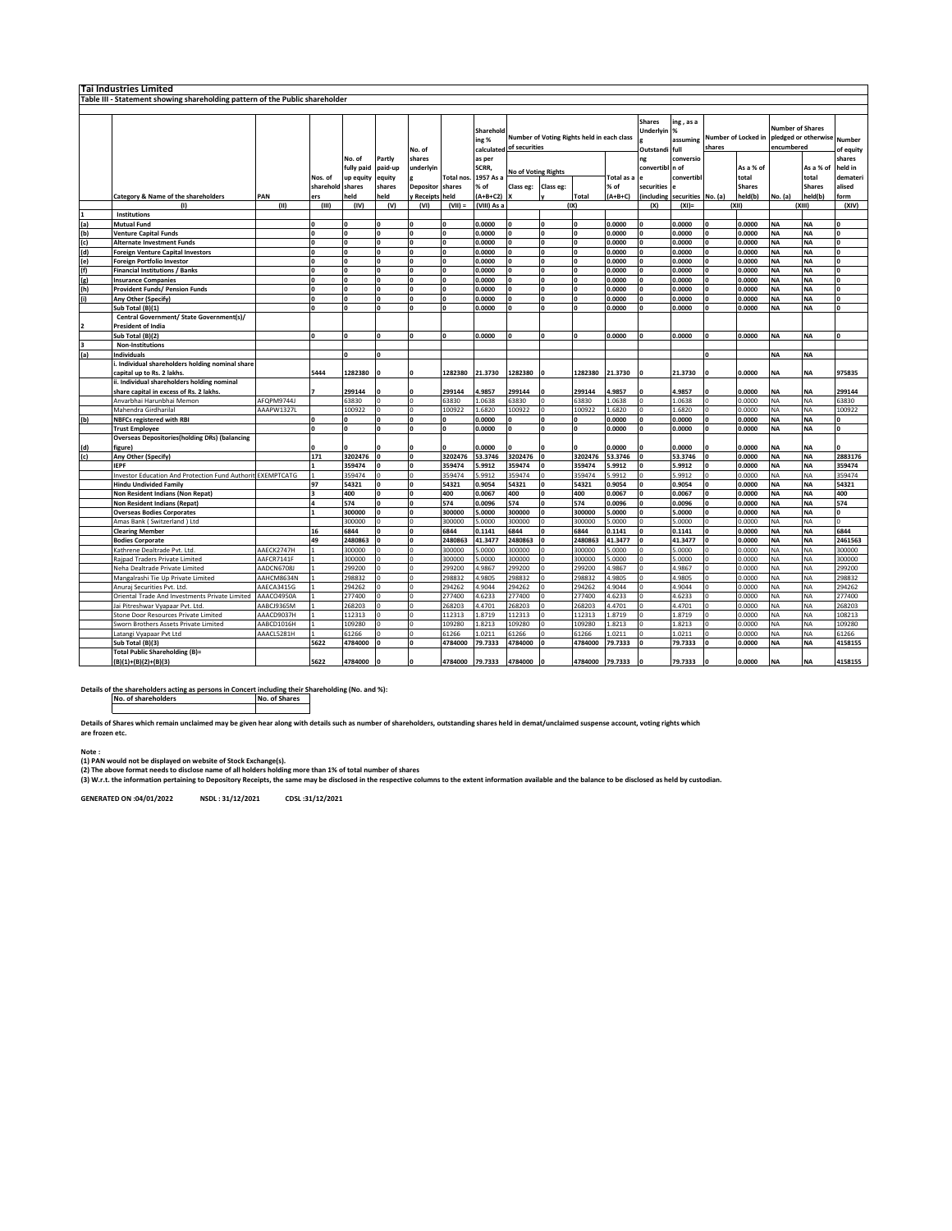|     | Tai Industries Limited                                                       |            |                |            |                |                 |              |             |                            |              |                                            |            |               |                    |              |               |                                                                     |               |                    |  |
|-----|------------------------------------------------------------------------------|------------|----------------|------------|----------------|-----------------|--------------|-------------|----------------------------|--------------|--------------------------------------------|------------|---------------|--------------------|--------------|---------------|---------------------------------------------------------------------|---------------|--------------------|--|
|     | Table III - Statement showing shareholding pattern of the Public shareholder |            |                |            |                |                 |              |             |                            |              |                                            |            |               |                    |              |               |                                                                     |               |                    |  |
|     |                                                                              |            |                |            |                |                 |              |             |                            |              |                                            |            |               |                    |              |               |                                                                     |               |                    |  |
|     |                                                                              |            |                |            |                |                 |              |             |                            |              |                                            |            |               |                    |              |               |                                                                     |               |                    |  |
|     |                                                                              |            |                |            |                |                 |              |             |                            |              |                                            |            | <b>Shares</b> | ing, as a          |              |               |                                                                     |               |                    |  |
|     |                                                                              |            |                |            |                |                 |              | Sharehold   |                            |              |                                            |            | Underlyin     | %                  |              |               | <b>Number of Shares</b><br>Number of Locked in pledged or otherwise |               |                    |  |
|     |                                                                              |            |                |            |                |                 |              | ing %       |                            |              | Number of Voting Rights held in each class |            |               | assuming           |              |               |                                                                     |               | Number             |  |
|     |                                                                              |            |                |            |                | No. of          |              | calculated  | of securities              |              |                                            |            | Outstandi     | full               | shares       |               | encumbered                                                          |               | of equity          |  |
|     |                                                                              |            |                | No. of     | Partly         | shares          |              | as per      |                            |              |                                            |            | ng            | conversio          |              |               |                                                                     |               | shares             |  |
|     |                                                                              |            |                | fully paid | paid-up        | underlyin       |              | SCRR,       |                            |              |                                            |            | convertibl    | n of               |              | As a % of     |                                                                     | As a % of     | held in            |  |
|     |                                                                              |            | Nos. of        | up equity  | equity         |                 | Total nos.   | 1957 As a   | <b>No of Voting Rights</b> |              |                                            | Total as a |               | convertibl         |              | total         |                                                                     | total         | demater            |  |
|     |                                                                              |            |                |            |                |                 |              |             |                            |              |                                            |            |               |                    |              |               |                                                                     |               |                    |  |
|     |                                                                              |            | sharehold      | shares     | shares         | Depositor       | shares       | % of        | Class eg:                  | Class eg:    |                                            | % of       | securities    |                    |              | <b>Shares</b> |                                                                     | <b>Shares</b> | alised             |  |
|     | Category & Name of the shareholders                                          | PAN        | ers            | held       | held           | <b>Receipts</b> | held         | $(A+B+C2)$  |                            |              | <b>Total</b>                               | $(A+B+C)$  | including     | securities No. (a) |              | held(b)       | No. (a)                                                             | held(b)       | form               |  |
|     | ጣ                                                                            | (II)       | (III)          | (IV)       | (V)            | (VI)            | $(VII) =$    | (VIII) As a |                            |              | (IX)                                       |            | (X)           | $(XI) =$           |              | (X  )         |                                                                     | (XIII)        | (XIV)              |  |
|     | Institutions                                                                 |            |                |            |                |                 |              |             |                            |              |                                            |            |               |                    |              |               |                                                                     |               |                    |  |
| (a) | <b>Mutual Fund</b>                                                           |            | ١o             | O          | lo             | $\Omega$        | $\Omega$     | 0.0000      |                            | $\Omega$     |                                            | 0.0000     | $\Omega$      | 0.0000             | <b>O</b>     | 0.0000        | <b>NA</b>                                                           | <b>NA</b>     | $\mathbf{0}$       |  |
| (b) | <b>Venture Capital Funds</b>                                                 |            | ١o             |            | lo             | 0               | $\mathbf{0}$ | 0.0000      |                            | 0            |                                            | 0.0000     | 0             | 0.0000             | <b>O</b>     | 0.0000        | <b>NA</b>                                                           | NA            | $\mathbf 0$        |  |
| (c) | <b>Alternate Investment Funds</b>                                            |            | o              |            | lo             |                 | <b>n</b>     | 0.0000      |                            | $\mathbf{0}$ |                                            | 0.0000     | $\Omega$      | 0.0000             | ln.          | 0.0000        | <b>NA</b>                                                           | NA            | $\pmb{\mathsf{o}}$ |  |
| (d) |                                                                              |            | ١o             | n          | lo             | n               | $\mathbf{0}$ | 0.0000      |                            | $\Omega$     |                                            | 0.0000     | <b>n</b>      | 0.0000             | ln.          | 0.0000        | <b>NA</b>                                                           | <b>NA</b>     | $\pmb{\mathsf{o}}$ |  |
|     | <b>Foreign Venture Capital Investors</b>                                     |            |                |            |                |                 |              |             |                            |              |                                            |            |               |                    |              |               |                                                                     |               |                    |  |
| (e) | <b>Foreign Portfolio Investor</b>                                            |            | O              | $\Omega$   | lo             | o               | $\Omega$     | 0.0000      |                            | $\mathbf{0}$ |                                            | 0.0000     | $\Omega$      | 0.0000             | o            | 0.0000        | <b>NA</b>                                                           | NA            | $\mathbf 0$        |  |
| (f) | <b>Financial Institutions / Banks</b>                                        |            | ١o             |            | lo             |                 | $\Omega$     | 0.0000      |                            | $\Omega$     |                                            | 0.0000     | $\Omega$      | 0.0000             | n            | 0.0000        | <b>NA</b>                                                           | <b>NA</b>     | $\mathbf{0}$       |  |
| (g) | <b>Insurance Companies</b>                                                   |            | O              | n          | o              | 0               | $\mathbf 0$  | 0.0000      |                            | 0            | $\Omega$                                   | 0.0000     | 0             | 0.0000             | O            | 0.0000        | <b>NA</b>                                                           | NA            | $\mathbf 0$        |  |
| (h) | <b>Provident Funds/ Pension Funds</b>                                        |            | O              | $\Omega$   | o              | $\mathbf{r}$    | $\mathbf{0}$ | 0.0000      |                            | $\mathbf{0}$ |                                            | 0.0000     | $\Omega$      | 0.0000             | <b>O</b>     | 0.0000        | <b>NA</b>                                                           | NA            | $\mathbf 0$        |  |
| (i) | Any Other (Specify)                                                          |            | ١o             | n          | lo             | $\Omega$        | $\mathbf{0}$ | 0.0000      |                            | 0            |                                            | 0.0000     | $\Omega$      | 0.0000             | n            | 0.0000        | <b>NA</b>                                                           | <b>NA</b>     | $\mathbf 0$        |  |
|     | Sub Total (B)(1                                                              |            | ١o             |            | $\mathbf{0}$   | $\Omega$        | $\mathbf{0}$ | 0.0000      |                            | $\Omega$     |                                            | 0.0000     |               | 0.0000             | o            | 0.0000        | <b>NA</b>                                                           | NA            | $\mathbf 0$        |  |
|     | Central Government/ State Government(s)/                                     |            |                |            |                |                 |              |             |                            |              |                                            |            |               |                    |              |               |                                                                     |               |                    |  |
|     |                                                                              |            |                |            |                |                 |              |             |                            |              |                                            |            |               |                    |              |               |                                                                     |               |                    |  |
|     | <b>President of India</b>                                                    |            |                |            |                |                 |              |             |                            |              |                                            |            |               |                    |              |               |                                                                     |               |                    |  |
|     | Sub Total (B)(2)                                                             |            | ١o             | n          | $\overline{0}$ | $\mathbf{a}$    | $\Omega$     | 0.0000      |                            | O            |                                            | 0.0000     | <b>n</b>      | 0.0000             | ln.          | 0.0000        | <b>NA</b>                                                           | <b>NA</b>     | $\Omega$           |  |
|     | Non-Institutions                                                             |            |                |            |                |                 |              |             |                            |              |                                            |            |               |                    |              |               |                                                                     |               |                    |  |
| (a) | Individuals                                                                  |            |                |            | $\mathbf{0}$   |                 |              |             |                            |              |                                            |            |               |                    | o            |               | <b>NA</b>                                                           | NA            |                    |  |
|     | i. Individual shareholders holding nominal share                             |            |                |            |                |                 |              |             |                            |              |                                            |            |               |                    |              |               |                                                                     |               |                    |  |
|     | capital up to Rs. 2 lakhs.                                                   |            | 5444           | 1282380    |                |                 | 1282380      | 21.3730     | 1282380                    |              | 1282380                                    | 21.3730    |               | 21.3730            |              | 0.0000        | <b>NA</b>                                                           | <b>NA</b>     | 975835             |  |
|     | ii. Individual shareholders holding nominal                                  |            |                |            |                |                 |              |             |                            |              |                                            |            |               |                    |              |               |                                                                     |               |                    |  |
|     |                                                                              |            |                | 299144     |                |                 | 299144       | 4.9857      | 299144                     |              | 299144                                     | 4.9857     |               | 4.9857             |              | 0.0000        | <b>NA</b>                                                           | NA            | 299144             |  |
|     | share capital in excess of Rs. 2 lakhs.                                      |            |                |            |                |                 |              |             |                            |              |                                            |            |               |                    |              |               |                                                                     |               |                    |  |
|     | Anvarbhai Harunbhai Memon                                                    | AFOPM9744J |                | 53830      | I٥             | $\Omega$        | 53830        | 1.0638      | 63830                      | $\Omega$     | 53830                                      | 1.0638     | $\Omega$      | 1.0638             |              | 0.0000        | <b>NA</b>                                                           | <b>NA</b>     | 63830              |  |
|     | Mahendra Girdharilal                                                         | AAAPW1327L |                | 100922     | O              | $\Omega$        | 100922       | 1.6820      | 100922                     | $\Omega$     | 100922                                     | 1.6820     | $\Omega$      | 1.6820             | $\Omega$     | 0.0000        | NA                                                                  | ΝA            | 100922             |  |
| (b) | <b>NBFCs registered with RBI</b>                                             |            | ١o             |            | lo             |                 |              | 0.0000      |                            | $\Omega$     |                                            | 0.0000     | $\Omega$      | 0.0000             |              | 0.0000        | <b>NA</b>                                                           | <b>NA</b>     | $\Omega$           |  |
|     | <b>Trust Employee</b>                                                        |            | o              | n          | o              | 0               | $\mathbf{0}$ | 0.0000      | n                          | $\mathbf{0}$ | $\Omega$                                   | 0.0000     | 0             | 0.0000             | <b>O</b>     | 0.0000        | <b>NA</b>                                                           | ΝA            | $\mathbf 0$        |  |
|     | <b>Overseas Depositories(holding DRs) (balancing</b>                         |            |                |            |                |                 |              |             |                            |              |                                            |            |               |                    |              |               |                                                                     |               |                    |  |
| (d) | figure)                                                                      |            | $\Omega$       |            | $\Omega$       |                 |              | 0.0000      |                            | n            |                                            | 0.0000     | $\Omega$      | 0.0000             |              | 0.0000        | <b>NA</b>                                                           | <b>NA</b>     | $\Omega$           |  |
| (c) | Any Other (Specify)                                                          |            | 171            | 3202476    | lo             | 0               | 3202476      | 53.3746     | 3202476                    | $\Omega$     | 3202476                                    | 53.3746    | $\Omega$      | 53.3746            | o            | 0.0000        | <b>NA</b>                                                           | NA            | 2883176            |  |
|     | <b>IEPF</b>                                                                  |            | I۱             | 359474     | lo             |                 | 359474       | 5.9912      | 359474                     | $\Omega$     | 359474                                     | 5.9912     |               | 5.9912             |              | 0.0000        | <b>NA</b>                                                           | NA            | 359474             |  |
|     |                                                                              |            |                |            |                |                 |              |             |                            |              |                                            |            |               |                    |              |               |                                                                     |               |                    |  |
|     | Investor Education And Protection Fund Authorit EXEMPTCATG                   |            | I1             | 359474     | lo             | $\Omega$        | 359474       | 5.9912      | 359474                     | $\mathbf 0$  | 359474                                     | 5.9912     | $\Omega$      | 5.9912             | $\Omega$     | 0.0000        | NA                                                                  | ΝA            | 359474             |  |
|     | <b>Hindu Undivided Family</b>                                                |            | 97             | 54321      | lo             | <b>O</b>        | 54321        | 0.9054      | 54321                      | $\Omega$     | 54321                                      | 0.9054     | $\Omega$      | 0.9054             | <b>O</b>     | 0.0000        | <b>NA</b>                                                           | <b>NA</b>     | 54321              |  |
|     | Non Resident Indians (Non Repat)                                             |            | lз             | 400        | lo             | $\mathbf{0}$    | 400          | 0.0067      | 400                        | $\mathbf{0}$ | 400                                        | 0.0067     | $\Omega$      | 0.0067             | <b>O</b>     | 0.0000        | <b>NA</b>                                                           | <b>NA</b>     | 400                |  |
|     | <b>Non Resident Indians (Repat)</b>                                          |            | 4              | 574        | lo             | 0               | 574          | 0.0096      | 574                        | 0            | 574                                        | 0.0096     | 0             | 0.0096             | $\mathbf{0}$ | 0.0000        | <b>NA</b>                                                           | NA            | 574                |  |
|     | <b>Overseas Bodies Corporates</b>                                            |            | l1             | 300000     | lo             | $\mathbf{r}$    | 300000       | 5.0000      | 300000                     | $\mathbf{0}$ | 300000                                     | 5.0000     | $\Omega$      | 5.0000             | ln.          | 0.0000        | <b>NA</b>                                                           | <b>NA</b>     | $\mathbf{0}$       |  |
|     | Amas Bank (Switzerland) Ltd                                                  |            |                | 300000     | I٥             | $\Omega$        | 300000       | 5.0000      | 300000                     | $\Omega$     | 300000                                     | 5.0000     | $\mathbf 0$   | 5.0000             | $\Omega$     | 0.0000        | <b>NA</b>                                                           | <b>NA</b>     | $\Omega$           |  |
|     | <b>Clearing Member</b>                                                       |            | 16             | 6844       | lo             | <b>O</b>        | 6844         | 0.1141      | 6844                       | $\Omega$     | 6844                                       | 0.1141     | $\Omega$      | 0.1141             | <b>O</b>     | 0.0000        | <b>NA</b>                                                           | <b>NA</b>     | 6844               |  |
|     | <b>Bodies Corporate</b>                                                      |            | 49             | 2480863    | ١o             |                 | 2480863      | 41.3477     | 2480863                    | $\Omega$     | 2480863                                    | 41.3477    |               | 41.3477            | <b>n</b>     | 0.0000        | <b>NA</b>                                                           | NA            | 2461563            |  |
|     |                                                                              |            |                |            |                |                 |              |             | 300000                     |              |                                            |            |               |                    |              |               |                                                                     |               |                    |  |
|     | Kathrene Dealtrade Pvt. Ltd.                                                 | AAECK2747H | 11             | 300000     | lo.            | $\Omega$        | 300000       | 5.0000      |                            | $\Omega$     | 300000                                     | 5.0000     | $\Omega$      | 5.0000             | $\Omega$     | 0.0000        | NA                                                                  | NA            | 300000             |  |
|     | Rajpad Traders Private Limited                                               | AAFCR7141F | I1             | 300000     | I٥             | $\Omega$        | 300000       | 6.0000      | 300000                     | $\Omega$     | 300000                                     | 5.0000     | $\Omega$      | 5.0000             | $\Omega$     | 0.0000        | <b>NA</b>                                                           | ΝA            | 300000             |  |
|     | Neha Dealtrade Private Limited                                               | AADCN6708J | I1             | 299200     | I٥             |                 | 299200       | 1.9867      | 299200                     | $\Omega$     | 299200                                     | 4.9867     | $\Omega$      | 4.9867             | $\Omega$     | 0.0000        | <b>NA</b>                                                           | <b>NA</b>     | 299200             |  |
|     | Mangalrashi Tie Up Private Limited                                           | AAHCM8634N |                | 298832     | $\Omega$       |                 | 298832       | .9805       | 298832                     |              | 298832                                     | 4.9805     | $\Omega$      | 1.9805             | $\Omega$     | 0.0000        | NA                                                                  | ΝA            | 298832             |  |
|     | Anuraj Securities Pvt. Ltd                                                   | AAECA3415G |                | 294262     | I٥             |                 | 294262       | 1.9044      | 294262                     |              | 294262                                     | 4.9044     | $\Omega$      | 4.9044             |              | 0.0000        | NA                                                                  | ΝA            | 294262             |  |
|     | Oriental Trade And Investments Private Limited                               | AAACO4950A | $\overline{1}$ | 277400     | $\Omega$       | $\Omega$        | 277400       | 4.6233      | 277400                     | $\Omega$     | 277400                                     | 4.6233     | $\Omega$      | 4.6233             | $\Omega$     | 0.0000        | <b>NA</b>                                                           | NΑ            | 277400             |  |
|     | Jai Pitreshwar Vyapaar Pvt. Ltd                                              | AABCJ9365M | 11             | 268203     | lo.            | $\Omega$        | 268203       | 4.4701      | 268203                     | $\Omega$     | 268203                                     | 4.4701     | $\mathbf 0$   | 4.4701             | $\Omega$     | 0.0000        | <b>NA</b>                                                           | NΑ            | 268203             |  |
|     |                                                                              |            | I1             |            | I٥             |                 |              |             |                            | $\Omega$     |                                            |            | $\Omega$      |                    |              |               |                                                                     |               |                    |  |
|     | Stone Door Resources Private Limited                                         | AAACD9037H |                | 112313     |                |                 | 112313       | 1.8719      | 112313                     |              | 112313                                     | 1.8719     |               | 1.8719             | $\Omega$     | 0.0000        | NA                                                                  | ΝA            | 108213             |  |
|     | Sworn Brothers Assets Private Limited                                        | AABCD1016H | $\overline{1}$ | 109280     | $\mathbf 0$    |                 | 109280       | 1.8213      | 109280                     |              | 109280                                     | 1.8213     | $\mathbf{0}$  | 1.8213             | $\Omega$     | 0.0000        | NA                                                                  | <b>NA</b>     | 109280             |  |
|     | Latangi Vyapaar Pvt Ltd                                                      | AAACL5281H | I٦             | 61266      | lo             |                 | 61266        | 1.0211      | 61266                      | $\Omega$     | 61266                                      | 1.0211     | $\mathbf 0$   | 1.0211             | $\sqrt{2}$   | 0.0000        | <b>NA</b>                                                           | ΝA            | 61266              |  |
|     | Sub Total (B)(3)                                                             |            | 5622           | 4784000    | lo             | $\mathbf{0}$    | 4784000      | 79.7333     | 4784000                    | $\Omega$     | 4784000                                    | 79.7333    | $\Omega$      | 79.7333            | lo           | 0.0000        | <b>NA</b>                                                           | ΝA            | 4158155            |  |
|     | <b>Total Public Shareholding (B)=</b>                                        |            |                |            |                |                 |              |             |                            |              |                                            |            |               |                    |              |               |                                                                     |               |                    |  |
|     | $(B)(1)+(B)(2)+(B)(3)$                                                       |            | 5622           | 4784000    |                |                 | 4784000      | 79.7333     | 4784000                    |              | 4784000                                    | 79.7333    |               | 79.7333            |              | 0.0000        | <b>NA</b>                                                           | <b>NA</b>     | 4158155            |  |
|     |                                                                              |            |                |            |                |                 |              |             |                            |              |                                            |            |               |                    |              |               |                                                                     |               |                    |  |

**Details of the shareholders acting as persons in Concert including their Shareholding (No. and %): No. of shareholders No. of Shares**

**Details of Shares which remain unclaimed may be given hear along with details such as number of shareholders, outstanding shares held in demat/unclaimed suspense account, voting rights which are frozen etc.**

**Note : (1) PAN would not be displayed on website of Stock Exchange(s).** 

(2) The above format needs to disclose name of all holders holding more than 1% of total number of shares<br>(3) W.r.t. the information pertaining to Depository Receipts, the same may be disclosed in the respective columns to